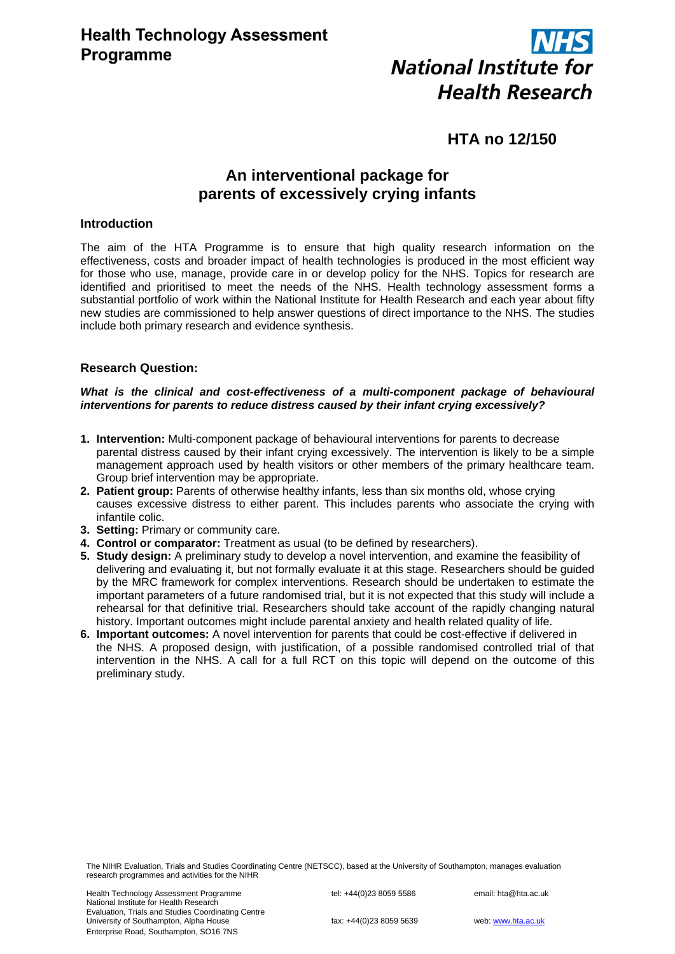

# **HTA no 12/150**

# **An interventional package for parents of excessively crying infants**

# **Introduction**

The aim of the HTA Programme is to ensure that high quality research information on the effectiveness, costs and broader impact of health technologies is produced in the most efficient way for those who use, manage, provide care in or develop policy for the NHS. Topics for research are identified and prioritised to meet the needs of the NHS. Health technology assessment forms a substantial portfolio of work within the National Institute for Health Research and each year about fifty new studies are commissioned to help answer questions of direct importance to the NHS. The studies include both primary research and evidence synthesis.

# **Research Question:**

## *What is the clinical and cost-effectiveness of a multi-component package of behavioural interventions for parents to reduce distress caused by their infant crying excessively?*

- **1. Intervention:** Multi-component package of behavioural interventions for parents to decrease parental distress caused by their infant crying excessively. The intervention is likely to be a simple management approach used by health visitors or other members of the primary healthcare team. Group brief intervention may be appropriate.
- **2. Patient group:** Parents of otherwise healthy infants, less than six months old, whose crying causes excessive distress to either parent. This includes parents who associate the crying with infantile colic.
- **3. Setting:** Primary or community care.
- **4. Control or comparator:** Treatment as usual (to be defined by researchers).
- **5. Study design:** A preliminary study to develop a novel intervention, and examine the feasibility of delivering and evaluating it, but not formally evaluate it at this stage. Researchers should be guided by the MRC framework for complex interventions. Research should be undertaken to estimate the important parameters of a future randomised trial, but it is not expected that this study will include a rehearsal for that definitive trial. Researchers should take account of the rapidly changing natural history. Important outcomes might include parental anxiety and health related quality of life.
- **6. Important outcomes:** A novel intervention for parents that could be cost-effective if delivered in the NHS. A proposed design, with justification, of a possible randomised controlled trial of that intervention in the NHS. A call for a full RCT on this topic will depend on the outcome of this preliminary study.

The NIHR Evaluation, Trials and Studies Coordinating Centre (NETSCC), based at the University of Southampton, manages evaluation research programmes and activities for the NIHR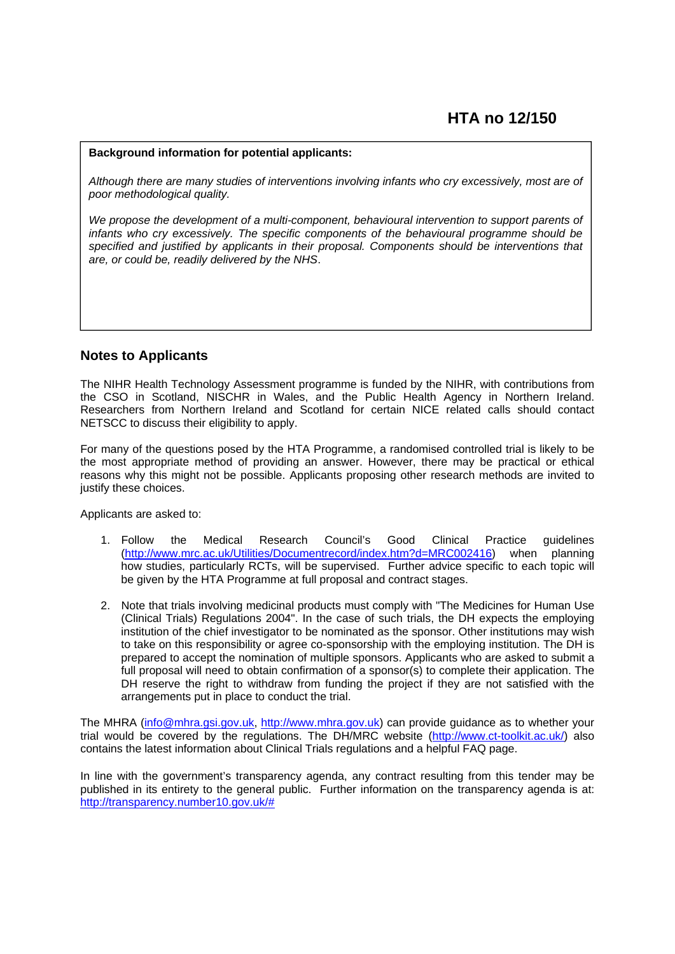#### **Background information for potential applicants:**

*Although there are many studies of interventions involving infants who cry excessively, most are of poor methodological quality.*

We propose the development of a multi-component, behavioural intervention to support parents of *infants who cry excessively. The specific components of the behavioural programme should be specified and justified by applicants in their proposal. Components should be interventions that are, or could be, readily delivered by the NHS*.

# **Notes to Applicants**

The NIHR Health Technology Assessment programme is funded by the NIHR, with contributions from the CSO in Scotland, NISCHR in Wales, and the Public Health Agency in Northern Ireland. Researchers from Northern Ireland and Scotland for certain NICE related calls should contact NETSCC to discuss their eligibility to apply.

For many of the questions posed by the HTA Programme, a randomised controlled trial is likely to be the most appropriate method of providing an answer. However, there may be practical or ethical reasons why this might not be possible. Applicants proposing other research methods are invited to justify these choices.

Applicants are asked to:

- 1. Follow the Medical Research Council's Good Clinical Practice guidelines (http://www.mrc.ac.uk/Utilities/Documentrecord/index.htm?d=MRC002416) when planning how studies, particularly RCTs, will be supervised. Further advice specific to each topic will be given by the HTA Programme at full proposal and contract stages.
- 2. Note that trials involving medicinal products must comply with "The Medicines for Human Use (Clinical Trials) Regulations 2004". In the case of such trials, the DH expects the employing institution of the chief investigator to be nominated as the sponsor. Other institutions may wish to take on this responsibility or agree co-sponsorship with the employing institution. The DH is prepared to accept the nomination of multiple sponsors. Applicants who are asked to submit a full proposal will need to obtain confirmation of a sponsor(s) to complete their application. The DH reserve the right to withdraw from funding the project if they are not satisfied with the arrangements put in place to conduct the trial.

The MHRA (info@mhra.gsi.gov.uk, http://www.mhra.gov.uk) can provide guidance as to whether your trial would be covered by the regulations. The DH/MRC website (http://www.ct-toolkit.ac.uk/) also contains the latest information about Clinical Trials regulations and a helpful FAQ page.

In line with the government's transparency agenda, any contract resulting from this tender may be published in its entirety to the general public. Further information on the transparency agenda is at: http://transparency.number10.gov.uk/#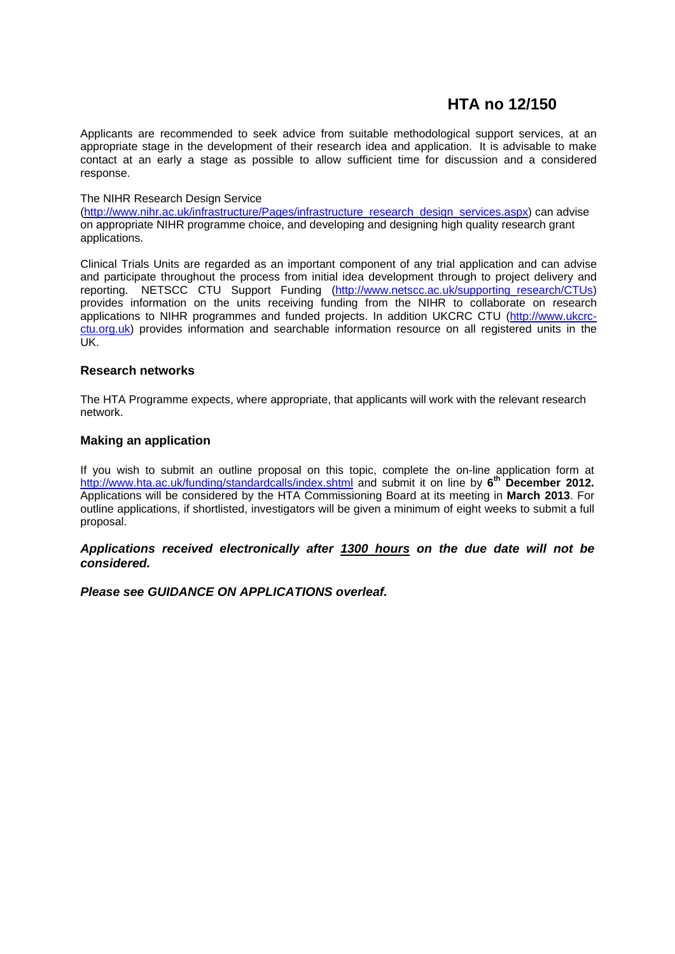# **HTA no 12/150**

Applicants are recommended to seek advice from suitable methodological support services, at an appropriate stage in the development of their research idea and application. It is advisable to make contact at an early a stage as possible to allow sufficient time for discussion and a considered response.

### The NIHR Research Design Service

(http://www.nihr.ac.uk/infrastructure/Pages/infrastructure\_research\_design\_services.aspx) can advise on appropriate NIHR programme choice, and developing and designing high quality research grant applications.

Clinical Trials Units are regarded as an important component of any trial application and can advise and participate throughout the process from initial idea development through to project delivery and reporting. NETSCC CTU Support Funding (http://www.netscc.ac.uk/supporting\_research/CTUs) provides information on the units receiving funding from the NIHR to collaborate on research applications to NIHR programmes and funded projects. In addition UKCRC CTU (http://www.ukcrcctu.org.uk) provides information and searchable information resource on all registered units in the  $\overline{UK}$ 

## **Research networks**

The HTA Programme expects, where appropriate, that applicants will work with the relevant research network.

## **Making an application**

If you wish to submit an outline proposal on this topic, complete the on-line application form at http://www.hta.ac.uk/funding/standardcalls/index.shtml and submit it on line by 6<sup>th</sup> December 2012. Applications will be considered by the HTA Commissioning Board at its meeting in **March 2013**. For outline applications, if shortlisted, investigators will be given a minimum of eight weeks to submit a full proposal.

*Applications received electronically after 1300 hours on the due date will not be considered.* 

*Please see GUIDANCE ON APPLICATIONS overleaf.*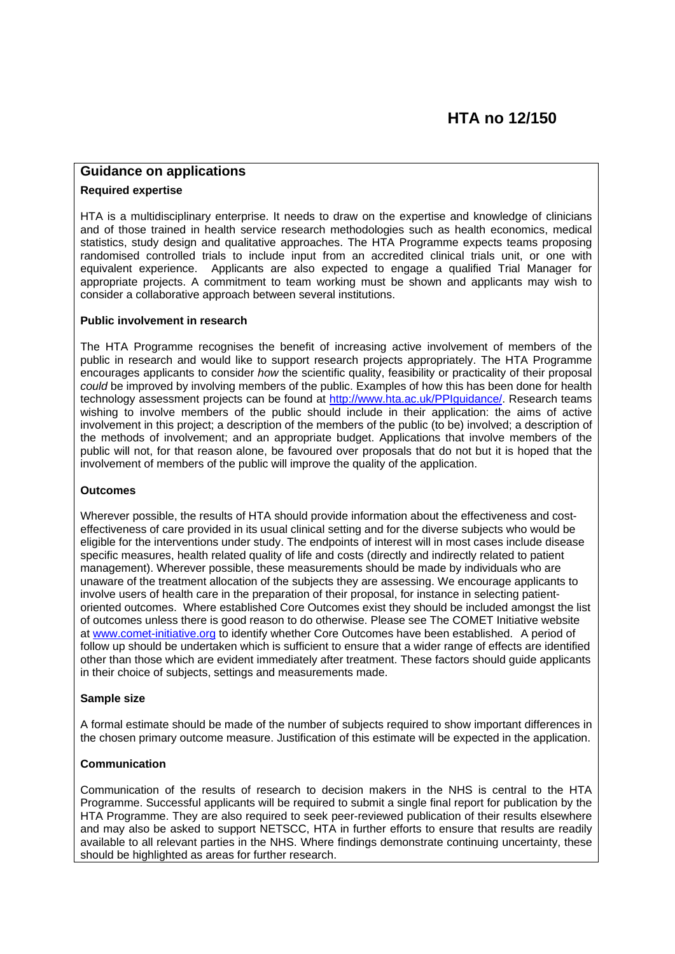# **Guidance on applications**

### **Required expertise**

HTA is a multidisciplinary enterprise. It needs to draw on the expertise and knowledge of clinicians and of those trained in health service research methodologies such as health economics, medical statistics, study design and qualitative approaches. The HTA Programme expects teams proposing randomised controlled trials to include input from an accredited clinical trials unit, or one with equivalent experience. Applicants are also expected to engage a qualified Trial Manager for appropriate projects. A commitment to team working must be shown and applicants may wish to consider a collaborative approach between several institutions.

#### **Public involvement in research**

The HTA Programme recognises the benefit of increasing active involvement of members of the public in research and would like to support research projects appropriately. The HTA Programme encourages applicants to consider *how* the scientific quality, feasibility or practicality of their proposal *could* be improved by involving members of the public. Examples of how this has been done for health technology assessment projects can be found at http://www.hta.ac.uk/PPIguidance/. Research teams wishing to involve members of the public should include in their application: the aims of active involvement in this project; a description of the members of the public (to be) involved; a description of the methods of involvement; and an appropriate budget. Applications that involve members of the public will not, for that reason alone, be favoured over proposals that do not but it is hoped that the involvement of members of the public will improve the quality of the application.

## **Outcomes**

Wherever possible, the results of HTA should provide information about the effectiveness and costeffectiveness of care provided in its usual clinical setting and for the diverse subjects who would be eligible for the interventions under study. The endpoints of interest will in most cases include disease specific measures, health related quality of life and costs (directly and indirectly related to patient management). Wherever possible, these measurements should be made by individuals who are unaware of the treatment allocation of the subjects they are assessing. We encourage applicants to involve users of health care in the preparation of their proposal, for instance in selecting patientoriented outcomes. Where established Core Outcomes exist they should be included amongst the list of outcomes unless there is good reason to do otherwise. Please see The COMET Initiative website at www.comet-initiative.org to identify whether Core Outcomes have been established. A period of follow up should be undertaken which is sufficient to ensure that a wider range of effects are identified other than those which are evident immediately after treatment. These factors should guide applicants in their choice of subjects, settings and measurements made.

#### **Sample size**

A formal estimate should be made of the number of subjects required to show important differences in the chosen primary outcome measure. Justification of this estimate will be expected in the application.

#### **Communication**

Communication of the results of research to decision makers in the NHS is central to the HTA Programme. Successful applicants will be required to submit a single final report for publication by the HTA Programme. They are also required to seek peer-reviewed publication of their results elsewhere and may also be asked to support NETSCC, HTA in further efforts to ensure that results are readily available to all relevant parties in the NHS. Where findings demonstrate continuing uncertainty, these should be highlighted as areas for further research.